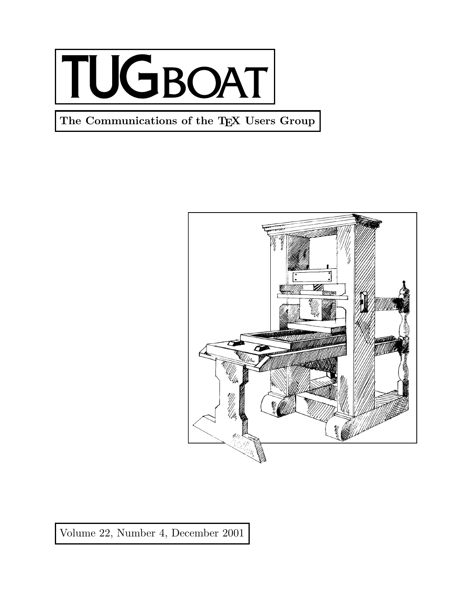

**The Communications of the TEX Users Group**



Volume 22, Number 4, December 2001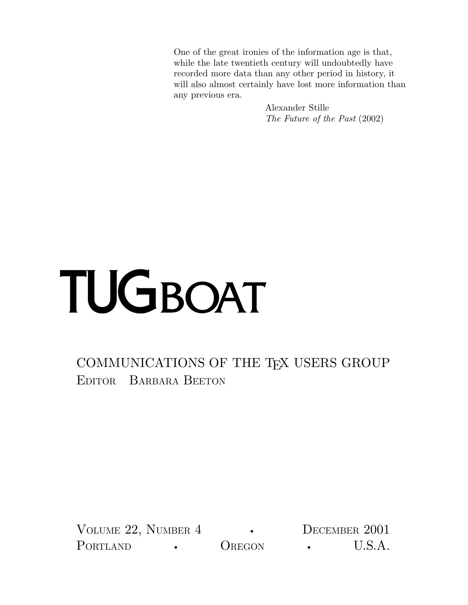One of the great ironies of the information age is that, while the late twentieth century will undoubtedly have recorded more data than any other period in history, it will also almost certainly have lost more information than any previous era.

> Alexander Stille *The Future of the Past* (2002)

## TUGBOAT

## COMMUNICATIONS OF THE TEX USERS GROUP EDITOR BARBARA BEETON

VOLUME 22, NUMBER 4 **•** DECEMBER 2001 PORTLAND **•** OREGON **•** U.S.A.